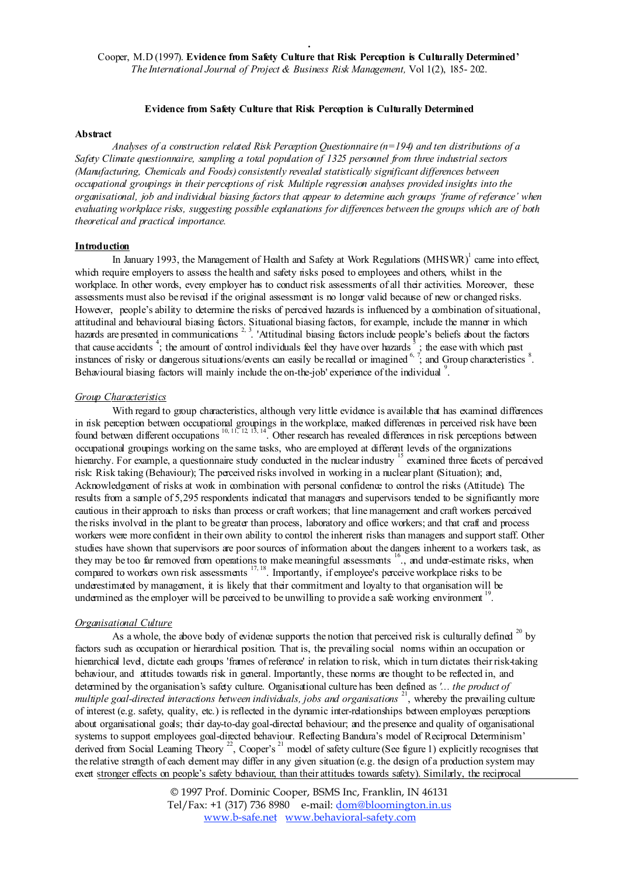## Evidence from Safety Culture that Risk Perception is Culturally Determined

#### Abstract

*Analyses of a construction related Risk Perception Questionnaire (n=194) and ten distributions of a Safety Climate questionnaire, sampling a total population of 1325 personnel from three industrial sectors (Manufacturing, Chemicals and Foods) consistently revealed statistically significant differences between occupational groupings in their perceptions of risk. Multiple regression analyses provided insights into the* organisational, job and individual biasing factors that appear to determine each groups 'frame of reference' when *evaluating workplace risks, suggesting possible explanations for differences between the groups which are of both theoretical and practical importance.*

# Introduction

In January 1993, the Management of Health and Safety at Work Regulations (MHSWR)<sup>1</sup> came into effect, which require employers to assess the health and safety risks posed to employees and others, whilst in the workplace. In other words, every employer has to conduct risk assessments of all their activities. Moreover, these assessments must also be revised if the original assessment is no longer valid because of new or changed risks. However, people's ability to determine the risks of perceived hazards is influenced by a combination ofsituational, attitudinal and behavioural biasing factors. Situational biasing factors, for example, include the manner in which hazards are presented in communications<sup>2, 3</sup>. 'Attitudinal biasing factors include people's beliefs about the factors that cause accidents  $\frac{4}{3}$ ; the amount of control individuals feel they have over hazards  $\frac{3}{3}$ ; the ease with which past instances of risky or dangerous situations/events can easily be recalled or imagined  $\frac{6, 7}{2}$  and Group characteristics  $\frac{8}{2}$ . Behavioural biasing factors will mainly include the on-the-job' experience of the individual<sup>9</sup>.

# *Group Characteristics*

With regard to group characteristics, although very little evidence is available that has examined differences in risk perception between occupational groupings in the workplace, marked differences in perceived risk have been found between different occupations <sup>10, 11, 12, 13, 14</sup>. Other research has revealed differences in risk perceptions between occupational groupings working on the same tasks, who are employed at different levels of the organizations hierarchy. For example, a questionnaire study conducted in the nuclear industry <sup>15</sup> examined three facets of perceived risk: Risk taking (Behaviour); The perceived risks involved in working in a nuclear plant (Situation); and, Acknowledgement of risks at work in combination with personal confidence to control the risks (Attitude). The results from a sample of 5,295 respondents indicated that managers and supervisors tended to be significantly more cautious in their approach to risks than process or craft workers; that line management and craft workers perceived the risks involved in the plant to be greater than process, laboratory and office workers; and that craft and process workers were more confident in their own ability to control the inherent risks than managers and support staff. Other studies have shown that supervisors are poorsources of information about the dangers inherent to a workers task, as they may be too far removed from operations to make meaningful assessments <sup>16</sup>., and under-estimate risks, when compared to workers own risk assessments  $17, 18$ . Importantly, if employee's perceive workplace risks to be underestimated by management, it is likely that their commitment and loyalty to that organisation will be undermined as the employer will be perceived to be unwilling to provide a safe working environment<sup>19</sup>.

## *Organisational Culture*

As a whole, the above body of evidence supports the notion that perceived risk is culturally defined  $^{20}$  by factors such as occupation or hierarchical position. That is, the prevailing social norms within an occupation or hierarchical level, dictate each groups 'frames of reference' in relation to risk, which in turn dictates their risk-taking behaviour, and attitudes towards risk in general. Importantly, these norms are thought to be reflected in, and determined by the organisation's safety culture. Organisational culture has been defined as *'... the product of multiple goal-directed interactions between individuals, jobs and organisations* <sup>21</sup> , whereby the prevailing culture of interest (e.g. safety, quality, etc.) is reflected in the dynamic inter-relationships between employees perceptions about organisational goals; their day-to-day goal-directed behaviour; and the presence and quality of organisational systems to support employees goal-directed behaviour. Reflecting Bandura's model of Reciprocal Determinism' derived from Social Learning Theory<sup>22</sup>, Cooper's<sup>21</sup> model of safety culture (See figure 1) explicitly recognises that the relative strength of each element may differ in any given situation (e.g. the design of a production system may exert stronger effects on people's safety behaviour, than their attitudes towards safety). Similarly, the reciprocal

> © 1997 Prof. Dominic Cooper, BSMS Inc, Franklin, IN 46131 Tel/Fax: +1 (317) 736 8980 e-mail: dom@bloomington.in.us www.b-safe.net www.behavioral-safety.com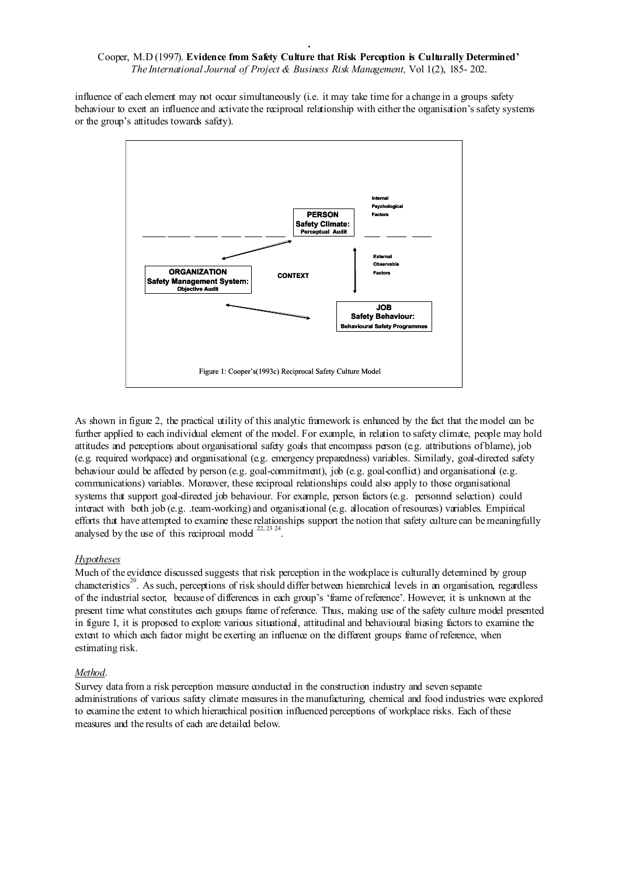influence of each element may not occur simultaneously (i.e. it may take time for a change in a groups safety behaviour to exert an influence and activate the reciprocal relationship with either the organisation's safety systems or the group's attitudes towards safety).



As shown in figure 2, the practical utility of this analytic framework is enhanced by the fact that the model can be further applied to each individual element of the model. For example, in relation to safety climate, people may hold attitudes and perceptions about organisational safety goals that encompass person (e.g. attributions of blame), job (e.g. required workpace) and organisational (e.g. emergency preparedness) variables. Similarly, goal-directed safety behaviour could be affected by person (e.g. goal-commitment), job (e.g. goal-conflict) and organisational (e.g. communications) variables. Moreover, these reciprocal relationships could also apply to those organisational systems that support goal-directed job behaviour. For example, person factors (e.g. personnel selection) could interact with both job (e.g. .team-working) and organisational (e.g. allocation of resources) variables. Empirical efforts that have attempted to examine these relationships support the notion that safety culture can be meaningfully analysed by the use of this reciprocal model  $^{22, 23, 24}$ .

# *Hypotheses*

Much of the evidence discussed suggests that risk perception in the workplace is culturally determined by group characteristics 20 . As such, perceptions of risk should differ between hierarchical levels in an organisation, regardless of the industrial sector, because of differences in each group's 'frame of reference'. However, it is unknown at the present time what constitutes each groups frame of reference. Thus, making use of the safety culture model presented in figure 1, it is proposed to explore various situational, attitudinal and behavioural biasing factors to examine the extent to which each factor might be exerting an influence on the different groups frame of reference, when estimating risk.

# *Method* .

Survey data from a risk perception measure conducted in the construction industry and seven separate administrations of various safety climate measures in the manufacturing, chemical and food industries were explored to examine the extent to which hierarchical position influenced perceptions of workplace risks. Each of these measures and the results of each are detailed below.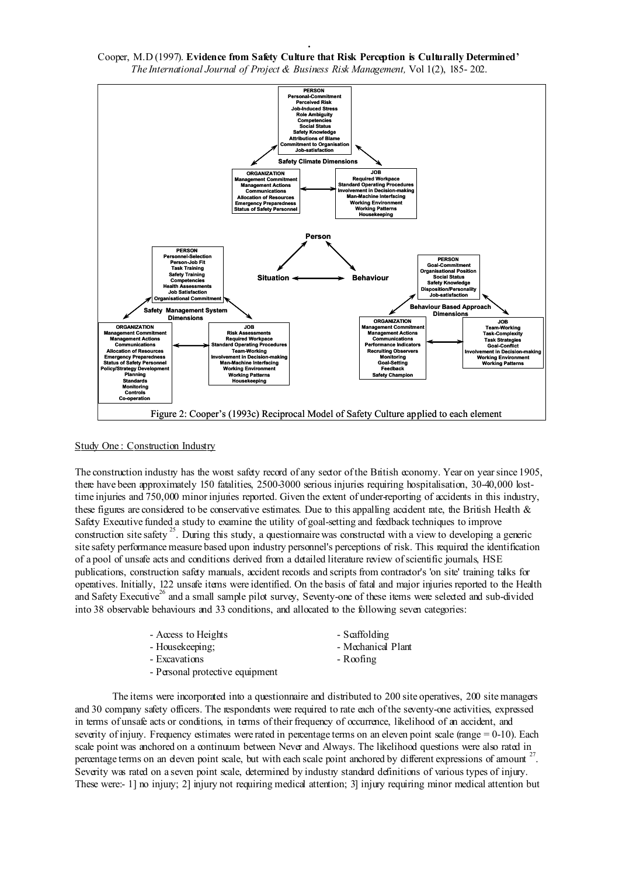

#### Study One: Construction Industry

The construction industry has the worst safety record of any sector of the British economy. Year on yearsince 1905, there have been approximately 150 fatalities, 2500-3000 serious injuries requiring hospitalisation, 30-40,000 losttime injuries and 750,000 minor injuries reported. Given the extent of under-reporting of accidents in this industry, these figures are considered to be conservative estimates. Due to this appalling accident rate, the British Health & Safety Executive funded a study to examine the utility of goal-setting and feedback techniques to improve construction site safety<sup>25</sup>. During this study, a questionnaire was constructed with a view to developing a generic site safety performance measure based upon industry personnel's perceptions of risk. This required the identification of a pool of unsafe acts and conditions derived from a detailed literature review ofscientific journals, HSE publications, construction safety manuals, accident records and scripts from contractor's 'on site' training talks for operatives. Initially, 122 unsafe items were identified. On the basis of fatal and major injuries reported to the Health and Safety Executive<sup>26</sup> and a small sample pilot survey, Seventy-one of these items were selected and sub-divided into 38 observable behaviours and 33 conditions, and allocated to the following seven categories:

|  |  | Access to Height: |
|--|--|-------------------|
|--|--|-------------------|

- 
- Excavations Roofing
- $s$  Scaffolding
- Housekeeping;  $\blacksquare$ 
	-
- Personal protective equipment

The items were incorporated into a questionnaire and distributed to 200 site operatives, 200 site managers and 30 company safety officers. The respondents were required to rate each of the seventy-one activities, expressed in terms of unsafe acts or conditions, in terms of their frequency of occurrence, likelihood of an accident, and severity of injury. Frequency estimates were rated in percentage terms on an eleven point scale (range  $= 0-10$ ). Each scale point was anchored on a continuum between Never and Always. The likelihood questions were also rated in percentage terms on an eleven point scale, but with each scale point anchored by different expressions of amount <sup>2</sup> . Severity was rated on a seven point scale, determined by industry standard definitions of various types of injury. These were:- 1] no injury; 2] injury not requiring medical attention; 3] injury requiring minor medical attention but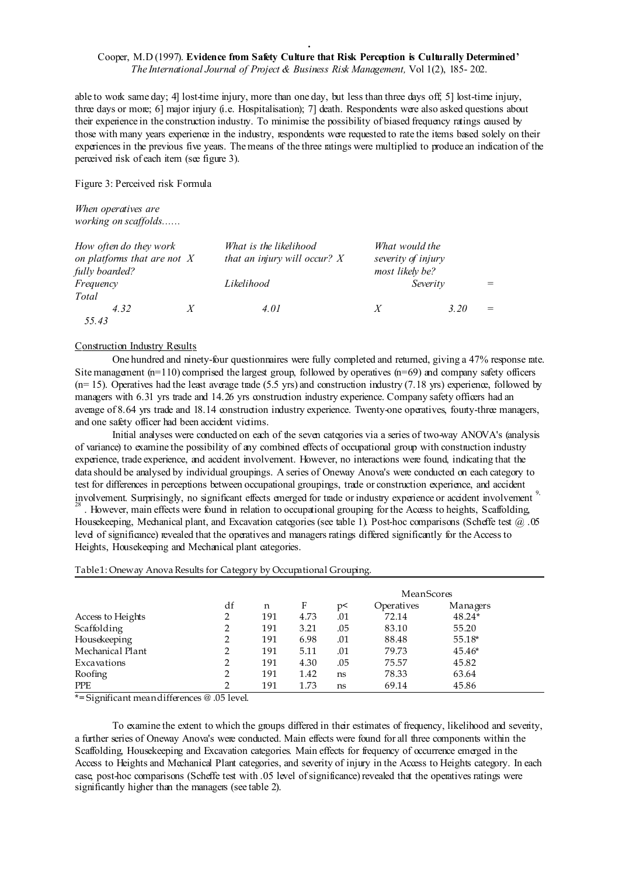able to work same day; 4] lost-time injury, more than one day, but less than three days off; 5] lost-time injury, three days or more; 6] major injury (i.e. Hospitalisation); 7] death. Respondents were also asked questions about their experience in the construction industry. To minimise the possibility of biased frequency ratings caused by those with many years experience in the industry, respondents were requested to rate the items based solely on their experiences in the previous five years. The means of the three ratings were multiplied to produce an indication of the perceived risk of each item (see figure 3).

Figure 3: Perceived risk Formula

*When operatives are working on scaffolds......*

| How often do they work<br>on platforms that are not $X$<br>fully boarded? |   | What is the likelihood<br>that an injury will occur? $X$ | What would the<br>severity of injury<br>most likely be? |          |  |
|---------------------------------------------------------------------------|---|----------------------------------------------------------|---------------------------------------------------------|----------|--|
| Frequency<br>Total                                                        |   | Likelihood                                               |                                                         | Severity |  |
| 4.32<br>55.43                                                             | X | 4.01                                                     | $\boldsymbol{X}$                                        | 3.20     |  |

#### Construction Industry Results

One hundred and ninety-four questionnaires were fully completed and returned, giving a 47% response rate. Site management  $(n=110)$  comprised the largest group, followed by operatives  $(n=69)$  and company safety officers  $(n= 15)$ . Operatives had the least average trade (5.5 yrs) and construction industry (7.18 yrs) experience, followed by managers with 6.31 yrs trade and 14.26 yrs construction industry experience. Company safety officers had an average of 8.64 yrs trade and 18.14 construction industry experience. Twenty-one operatives, fourty-three managers, and one safety officer had been accident victims.

Initial analyses were conducted on each of the seven categories via a series of two-way ANOVA's (analysis of variance) to examine the possibility of any combined effects of occupational group with construction industry experience, trade experience, and accident involvement. However, no interactions were found, indicating that the data should be analysed by individual groupings. A series of Oneway Anova's were conducted on each category to test for differences in perceptions between occupational groupings, trade or construction experience, and accident involvement. Surprisingly, no significant effects emerged for trade or industry experience or accident involvement<sup>9</sup>.

28 . However, main effects were found in relation to occupational grouping for the Access to heights, Scaffolding, Housekeeping, Mechanical plant, and Excavation categories (see table 1). Post-hoc comparisons (Scheffe test  $\omega$ .05 level of significance) revealed that the operatives and managers ratings differed significantly for the Access to Heights, Housekeeping and Mechanical plant categories.

#### Table1: Oneway Anova Results for Category by Occupational Grouping.

|                   |    |     |      |     | MeanScores |          |
|-------------------|----|-----|------|-----|------------|----------|
|                   | df | n   | F    | p<  | Operatives | Managers |
| Access to Heights | 2  | 191 | 4.73 | .01 | 72.14      | 48.24*   |
| Scaffolding       | 2  | 191 | 3.21 | .05 | 83.10      | 55.20    |
| Housekeeping      | 2  | 191 | 6.98 | .01 | 88.48      | 55.18*   |
| Mechanical Plant  | 2  | 191 | 5.11 | .01 | 79.73      | $45.46*$ |
| Excavations       | 2  | 191 | 4.30 | .05 | 75.57      | 45.82    |
| Roofing           | 2  | 191 | 1.42 | ns  | 78.33      | 63.64    |
| <b>PPE</b>        | 2  | 191 | 1.73 | ns  | 69.14      | 45.86    |

\*= Significant meandifferences @ .05 level.

To examine the extent to which the groups differed in their estimates of frequency, likelihood and severity, a further series of Oneway Anova's were conducted. Main effects were found for all three components within the Scaffolding, Housekeeping and Excavation categories. Main effects for frequency of occurrence emerged in the Access to Heights and Mechanical Plant categories, and severity of injury in the Access to Heights category. In each case, post-hoc comparisons (Scheffe test with .05 level ofsignificance) revealed that the operatives ratings were significantly higher than the managers (see table 2).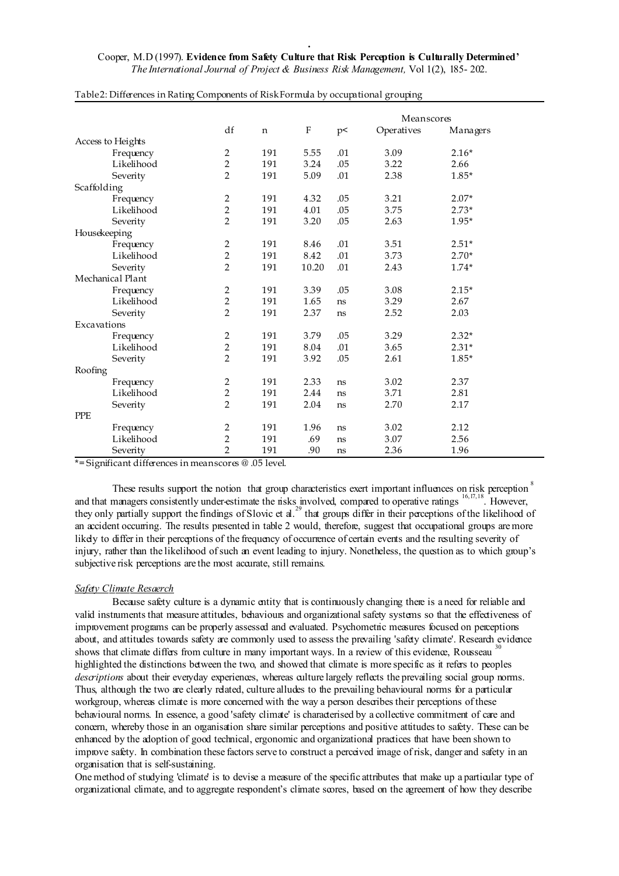|                   |                |             |         |          | Meanscores |          |
|-------------------|----------------|-------------|---------|----------|------------|----------|
|                   | df             | $\mathbf n$ | $\rm F$ | $\tt p<$ | Operatives | Managers |
| Access to Heights |                |             |         |          |            |          |
| Frequency         | $\overline{2}$ | 191         | 5.55    | .01      | 3.09       | $2.16*$  |
| Likelihood        | $\overline{2}$ | 191         | 3.24    | .05      | 3.22       | 2.66     |
| Severity          | $\overline{2}$ | 191         | 5.09    | .01      | 2.38       | 1.85*    |
| Scaffolding       |                |             |         |          |            |          |
| Frequency         | $\overline{2}$ | 191         | 4.32    | .05      | 3.21       | $2.07*$  |
| Likelihood        | 2              | 191         | 4.01    | .05      | 3.75       | $2.73*$  |
| Severity          | $\overline{2}$ | 191         | 3.20    | .05      | 2.63       | 1.95*    |
| Housekeeping      |                |             |         |          |            |          |
| Frequency         | $\overline{2}$ | 191         | 8.46    | .01      | 3.51       | $2.51*$  |
| Likelihood        | $\overline{2}$ | 191         | 8.42    | .01      | 3.73       | $2.70*$  |
| Severity          | $\overline{2}$ | 191         | 10.20   | .01      | 2.43       | $1.74*$  |
| Mechanical Plant  |                |             |         |          |            |          |
| Frequency         | 2              | 191         | 3.39    | .05      | 3.08       | $2.15*$  |
| Likelihood        | $\overline{2}$ | 191         | 1.65    | ns       | 3.29       | 2.67     |
| Severity          | $\overline{2}$ | 191         | 2.37    | ns       | 2.52       | 2.03     |
| Excavations       |                |             |         |          |            |          |
| Frequency         | 2              | 191         | 3.79    | .05      | 3.29       | $2.32*$  |
| Likelihood        | 2              | 191         | 8.04    | .01      | 3.65       | $2.31*$  |
| Severity          | $\overline{2}$ | 191         | 3.92    | .05      | 2.61       | 1.85*    |
| Roofing           |                |             |         |          |            |          |
| Frequency         | $\overline{2}$ | 191         | 2.33    | ns       | 3.02       | 2.37     |
| Likelihood        | $\overline{2}$ | 191         | 2.44    | ns       | 3.71       | 2.81     |
| Severity          | $\overline{2}$ | 191         | 2.04    | ns       | 2.70       | 2.17     |
| <b>PPE</b>        |                |             |         |          |            |          |
| Frequency         | $\overline{2}$ | 191         | 1.96    | ns       | 3.02       | 2.12     |
| Likelihood        | $\overline{2}$ | 191         | .69     | ns       | 3.07       | 2.56     |
| Severity          | $\overline{2}$ | 191         | .90     | ns       | 2.36       | 1.96     |

#### Table2: Differences in Rating Components of RiskFormula by occupational grouping

\*= Significant differences in meanscores @ .05 level.

These results support the notion that group characteristics exert important influences on risk perception <sup>8</sup> and that managers consistently under-estimate the risks involved, compared to operative ratings <sup>16,17,18</sup>. However, they only partially support the findings of Slovic et al.<sup>29</sup> that groups differ in their perceptions of the likelihood of an accident occurring. The results presented in table 2 would, therefore, suggest that occupational groups are more likely to differ in their perceptions of the frequency of occurrence of certain events and the resulting severity of injury, rather than the likelihood ofsuch an event leading to injury. Nonetheless, the question as to which group's subjective risk perceptions are the most accurate, still remains.

#### *<u>Safety Climate Resaerch</u>*

Because safety culture is a dynamic entity that is continuously changing there is a need for reliable and valid instruments that measure attitudes, behaviours and organizational safety systems so that the effectiveness of improvement programs can be properly assessed and evaluated. Psychometric measures focused on perceptions about, and attitudes towards safety are commonly used to assess the prevailing 'safety climate'. Research evidence shows that climate differs from culture in many important ways. In a review of this evidence, Rousseau highlighted the distinctions between the two, and showed that climate is more specific as it refers to peoples *descriptions* about their everyday experiences, whereas culture largely reflects the prevailing social group norms. Thus, although the two are clearly related, culture alludes to the prevailing behavioural norms for a particular workgroup, whereas climate is more concerned with the way a person describes their perceptions of these behavioural norms. In essence, a good 'safety climate' is characterised by a collective commitment of care and concern, whereby those in an organisation share similar perceptions and positive attitudes to safety. These can be enhanced by the adoption of good technical, ergonomic and organizational practices that have been shown to improve safety. In combination these factors serve to construct a perceived image of risk, danger and safety in an organisation that is self-sustaining.

One method of studying 'climate' is to devise a measure of the specific attributes that make up a particular type of organizational climate, and to aggregate respondent's climate scores, based on the agreement of how they describe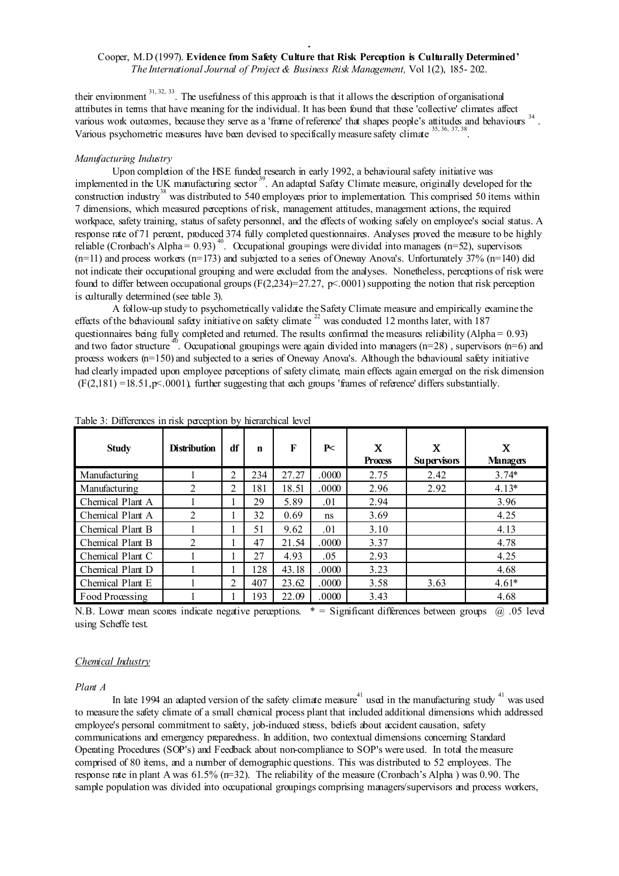their environment  $31, 32, 33$ . The usefulness of this approach is that it allows the description of organisational attributes in terms that have meaning for the individual. It has been found that these 'collective' climates affect various work outcomes, because they serve as a 'frame of reference' that shapes people's attitudes and behaviours <sup>34</sup> . Various psychometric measures have been devised to specifically measure safety climate <sup>35, 36, 37, 38</sup> .

#### *Manufacturing Industry*

Upon completion of the HSE funded research in early 1992, a behavioural safety initiative was implemented in the UK manufacturing sector<sup>39</sup>. An adapted Safety Climate measure, originally developed for the construction industry<sup>38</sup> was distributed to 540 employees prior to implementation. This comprised 50 items within 7 dimensions, which measured perceptions of risk, management attitudes, management actions, the required workpace, safety training, status of safety personnel, and the effects of working safely on employee's social status. A response rate of 71 percent, produced 374 fully completed questionnaires. Analyses proved the measure to be highly reliable (Cronbach's Alpha =  $0.93$ )<sup>40</sup>. Occupational groupings were divided into managers (n=52), supervisors  $(n=11)$  and process workers  $(n=173)$  and subjected to a series of Oneway Anova's. Unfortunately 37%  $(n=140)$  did not indicate their occupational grouping and were excluded from the analyses. Nonetheless, perceptions of risk were found to differ between occupational groups  $(F(2,234)=27.27, p< .0001)$  supporting the notion that risk perception is culturally determined (see table 3).

A follow-up study to psychometrically validate the Safety Climate measure and empirically examine the effects of the behavioural safety initiative on safety climate  $22$  was conducted 12 months later, with 187 questionnaires being fully completed and returned. The results confirmed the measures reliability (Alpha = 0.93) and two factor structure<sup>40</sup>. Occupational groupings were again divided into managers (n=28), supervisors (n=6) and process workers (n=150) and subjected to a series of Oneway Anova's. Although the behavioural safety initiative had clearly impacted upon employee perceptions of safety climate, main effects again emerged on the risk dimension  $(F(2.181) = 18.51, p \le 0.0001)$  further suggesting that each groups 'frames of reference' differs substantially.

| <b>Study</b>     | <b>Distribution</b> | df             | n   | F     | P<    | $\mathbf x$<br><b>Process</b> | X<br><b>Supervisors</b> | X<br><b>Managers</b> |
|------------------|---------------------|----------------|-----|-------|-------|-------------------------------|-------------------------|----------------------|
| Manufacturing    |                     | 2              | 234 | 27.27 | .0000 | 2.75                          | 2.42                    | $3.74*$              |
| Manufacturing    | $\overline{2}$      | $\mathfrak{D}$ | 181 | 18.51 | .0000 | 2.96                          | 2.92                    | $4.13*$              |
| Chemical Plant A |                     |                | 29  | 5.89  | .01   | 2.94                          |                         | 3.96                 |
| Chemical Plant A | 2                   |                | 32  | 0.69  | ns    | 3.69                          |                         | 4.25                 |
| Chemical Plant B |                     |                | 51  | 9.62  | .01   | 3.10                          |                         | 4.13                 |
| Chemical Plant B | 2                   |                | 47  | 21.54 | .0000 | 3.37                          |                         | 4.78                 |
| Chemical Plant C |                     |                | 27  | 4.93  | .05   | 2.93                          |                         | 4.25                 |
| Chemical Plant D |                     |                | 128 | 43.18 | .0000 | 3.23                          |                         | 4.68                 |
| Chemical Plant E |                     | 2              | 407 | 23.62 | .0000 | 3.58                          | 3.63                    | $4.61*$              |
| Food Processing  |                     |                | 193 | 22.09 | .0000 | 3.43                          |                         | 4.68                 |

Table 3: Differences in risk perception by hierarchical level

N.B. Lower mean scores indicate negative perceptions.  $* =$  Significant differences between groups  $\omega$  .05 level using Scheffe test.

#### *Chemical Industry*

#### *Plant A*

In late 1994 an adapted version of the safety climate measure<sup>41</sup> used in the manufacturing study  $41$  was used to measure the safety climate of a small chemical process plant that included additional dimensions which addressed employee's personal commitment to safety, job-induced stress, beliefs about accident causation, safety communications and emergency preparedness. In addition, two contextual dimensions concerning Standard Operating Procedures (SOP's) and Feedback about non-compliance to SOP's were used. In total the measure comprised of 80 items, and a number of demographic questions. This was distributed to 52 employees. The response rate in plant A was  $61.5\%$  ( $n=32$ ). The reliability of the measure (Cronbach's Alpha) was 0.90. The sample population was divided into occupational groupings comprising managers/supervisors and process workers,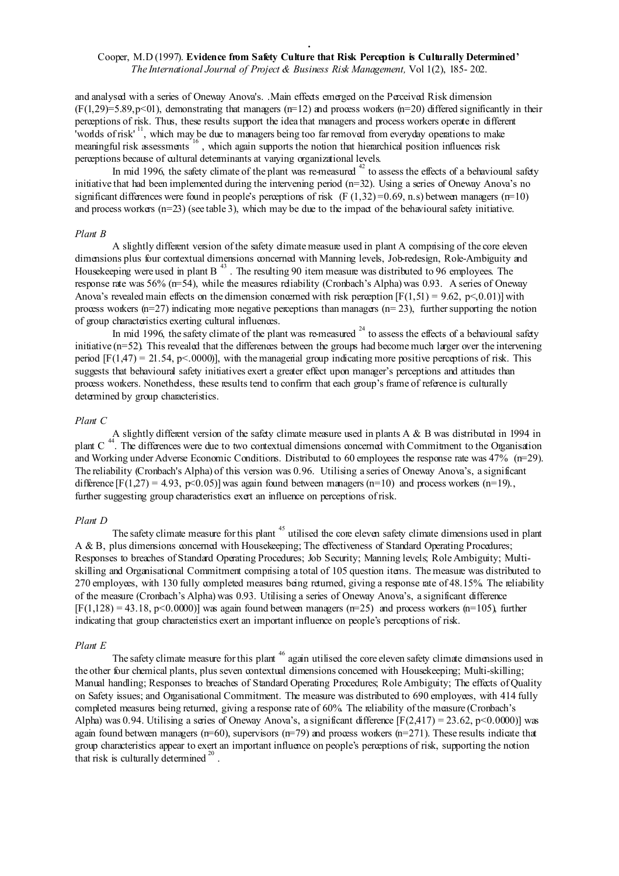and analysed with a series of Oneway Anova's. .Main effects emerged on the Perceived Risk dimension  $(F(1,29)=5.89, p<01)$ , demonstrating that managers  $(n=12)$  and process workers  $(n=20)$  differed significantly in their perceptions of risk. Thus, these results support the idea that managers and process workers operate in different worlds of risk'<sup>11</sup>, which may be due to managers being too far removed from everyday operations to make meaningful risk assessments<sup>16</sup>, which again supports the notion that hierarchical position influences risk perceptions because of cultural determinants at varying organizational levels.

In mid 1996, the safety climate of the plant was re-measured  $42$  to assess the effects of a behavioural safety initiative that had been implemented during the intervening period  $(n=32)$ . Using a series of Oneway Anova's no significant differences were found in people's perceptions of risk (F  $(1,32) = 0.69$ , n.s) between managers ( $n=10$ ) and process workers  $(n=23)$  (see table 3), which may be due to the impact of the behavioural safety initiative.

#### *Plant B*

A slightly different version of the safety climate measure used in plant A comprising of the core eleven dimensions plus four contextual dimensions concerned with Manning levels, Job-redesign, Role-Ambiguity and Housekeeping were used in plant B<sup>43</sup>. The resulting 90 item measure was distributed to 96 employees. The response rate was 56% ( $n=54$ ), while the measures reliability (Cronbach's Alpha) was 0.93. A series of Oneway Anova's revealed main effects on the dimension concerned with risk perception  $[F(1,51) = 9.62, p \le 0.01]$  with process workers  $(n=27)$  indicating more negative perceptions than managers  $(n=23)$ , further supporting the notion of group characteristics exerting cultural influences.

In mid 1996, the safety climate of the plant was re-measured  $24$  to assess the effects of a behavioural safety initiative  $(n=52)$ . This revealed that the differences between the groups had become much larger over the intervening period  $[F(1,47) = 21.54, p < 0000]$ , with the managerial group indicating more positive perceptions of risk. This suggests that behavioural safety initiatives exert a greater effect upon manager's perceptions and attitudes than process workers. Nonetheless, these results tend to confirm that each group's frame of reference is culturally determined by group characteristics.

#### *Plant C*

A slightly different version of the safety climate measure used in plants A & B was distributed in 1994 in plant C<sup>44</sup>. The differences were due to two contextual dimensions concerned with Commitment to the Organisation and Working under Adverse Economic Conditions. Distributed to 60 employees the response rate was 47% (n=29). The reliability (Cronbach's Alpha) of this version was 0.96. Utilising a series of Oneway Anova's, a significant difference  $[F(1,27) = 4.93, p<0.05]$  was again found between managers (n=10) and process workers (n=19). further suggesting group characteristics exert an influence on perceptions of risk.

#### *Plant D*

The safety climate measure for this plant<sup>45</sup> utilised the core eleven safety climate dimensions used in plant A & B, plus dimensions concerned with Housekeeping; The effectiveness of Standard Operating Procedures; Responses to breaches of Standard Operating Procedures; Job Security; Manning levels; Role Ambiguity; Multiskilling and Organisational Commitment comprising a total of 105 question items. The measure was distributed to 270 employees, with 130 fully completed measures being returned, giving a response rate of 48.15%. The reliability of the measure (Cronbach's Alpha) was 0.93. Utilising a series of Oneway Anova's, a significant difference  $[F(1,128) = 43.18, p<0.0000]$  was again found between managers (n=25) and process workers (n=105), further indicating that group characteristics exert an important influence on people's perceptions of risk.

#### *Plant E*

The safety climate measure for this plant <sup>46</sup> again utilised the core eleven safety climate dimensions used in the other four chemical plants, plus seven contextual dimensions concerned with Housekeeping; Multi-skilling; Manual handling; Responses to breaches of Standard Operating Procedures; Role Ambiguity; The effects of Quality on Safety issues; and Organisational Commitment. The measure was distributed to 690 employees, with 414 fully completed measures being returned, giving a response rate of 60%. The reliability of the measure (Cronbach's Alpha) was 0.94. Utilising a series of Oneway Anova's, a significant difference  $[F(2,417) = 23.62, p < 0.0000]$  was again found between managers ( $m=60$ ), supervisors ( $m=79$ ) and process workers ( $m=271$ ). These results indicate that group characteristics appear to exert an important influence on people's perceptions of risk, supporting the notion that risk is culturally determined  $20$ .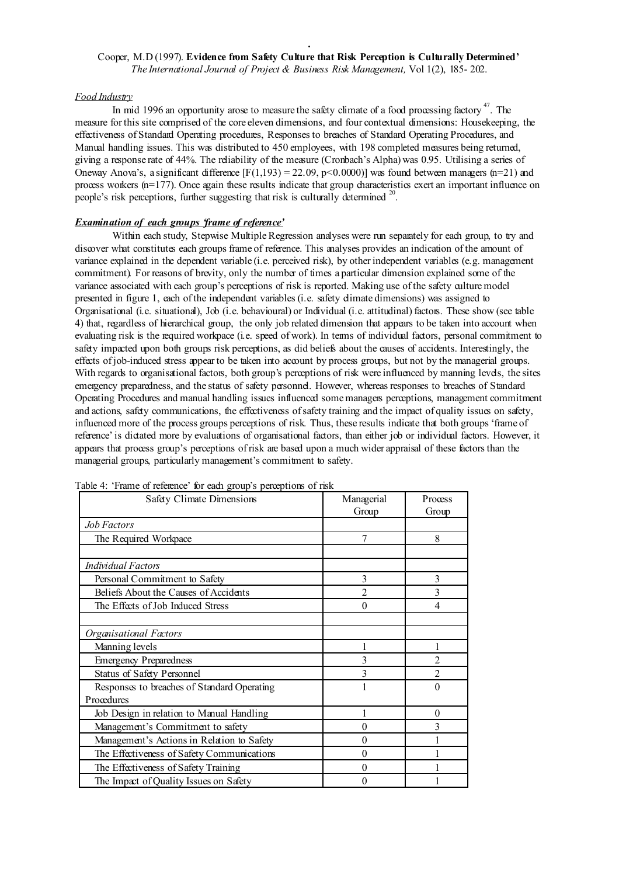#### *Food Industry*

In mid 1996 an opportunity arose to measure the safety climate of a food processing factory  $47$ . The measure for this site comprised of the core eleven dimensions, and four contextual dimensions: Housekeeping, the effectiveness of Standard Operating procedures, Responses to breaches of Standard Operating Procedures, and Manual handling issues. This was distributed to 450 employees, with 198 completed measures being returned, giving a response rate of 44%. The reliability of the measure (Cronbach's Alpha) was 0.95. Utilising a series of Oneway Anova's, a significant difference  $[F(1,193) = 22.09, p \le 0.0000]$  was found between managers (n=21) and process workers  $(n=177)$ . Once again these results indicate that group characteristics exert an important influence on people's risk perceptions, further suggesting that risk is culturally determined <sup>20</sup>.

# *Examination of each groups 'frame of reference'*

Within each study. Stepwise Multiple Regression analyses were run separately for each group, to try and discover what constitutes each groups frame of reference. This analyses provides an indication of the amount of variance explained in the dependent variable (i.e. perceived risk), by other independent variables (e.g. management commitment). For reasons of brevity, only the number of times a particular dimension explained some of the variance associated with each group's perceptions of risk is reported. Making use of the safety culture model presented in figure 1, each of the independent variables (i.e. safety climate dimensions) was assigned to Organisational (i.e. situational), Job (i.e. behavioural) or Individual (i.e. attitudinal) factors. These show (see table 4) that, regardless of hierarchical group, the only job related dimension that appears to be taken into account when evaluating risk is the required workpace (i.e. speed of work). In terms of individual factors, personal commitment to safety impacted upon both groups risk perceptions, as did beliefs about the causes of accidents. Interestingly, the effects of job-induced stress appear to be taken into account by process groups, but not by the managerial groups. With regards to organisational factors, both group's perceptions of risk were influenced by manning levels, the sites emergency preparedness, and the status of safety personnel. However, whereas responses to breaches of Standard Operating Procedures and manual handling issues influenced some managers perceptions, management commitment and actions, safety communications, the effectiveness ofsafety training and the impact of quality issues on safety, influenced more of the process groups perceptions of risk. Thus, these results indicate that both groups 'frame of reference' is dictated more by evaluations of organisational factors, than either job or individual factors. However, it appears that process group's perceptions of risk are based upon a much wider appraisal of these factors than the managerial groups, particularly management's commitment to safety.

| Safety Climate Dimensions                   | Managerial     | Process        |
|---------------------------------------------|----------------|----------------|
|                                             | Group          | Group          |
| <i>Job Factors</i>                          |                |                |
| The Required Workpace                       | 7              | 8              |
|                                             |                |                |
| Individual Factors                          |                |                |
| Personal Commitment to Safety               | 3              | 3              |
| Beliefs About the Causes of Accidents       | $\mathfrak{D}$ | 3              |
| The Effects of Job Induced Stress           | 0              | 4              |
|                                             |                |                |
| Organisational Factors                      |                |                |
| Manning levels                              |                |                |
| <b>Emergency Preparedness</b>               | 3              | 2              |
| Status of Safety Personnel                  | 3              | $\mathfrak{D}$ |
| Responses to breaches of Standard Operating |                | 0              |
| Procedures                                  |                |                |
| Job Design in relation to Manual Handling   |                | $\theta$       |
| Management's Commitment to safety           | 0              | 3              |
| Management's Actions in Relation to Safety  | 0              |                |
| The Effectiveness of Safety Communications  | 0              |                |
| The Effectiveness of Safety Training        | 0              |                |
| The Impact of Quality Issues on Safety      | 0              |                |

Table 4: 'Frame of reference' for each group's perceptions of risk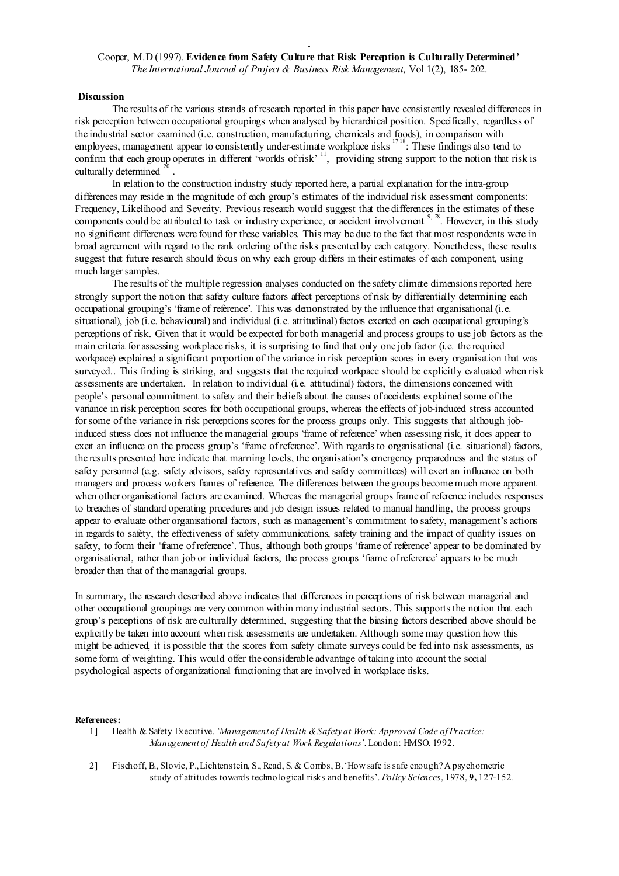#### **Discussion**

The results of the various strands of research reported in this paper have consistently revealed differences in risk perception between occupational groupings when analysed by hierarchical position. Specifically, regardless of the industrial sector examined (i.e. construction, manufacturing, chemicals and foods), in comparison with employees, management appear to consistently under-estimate workplace risks<sup>1718</sup>: These findings also tend to confirm that each group operates in different 'worlds of risk'<sup>11</sup>, providing strong support to the notion that risk is culturally determined .

In relation to the construction industry study reported here, a partial explanation for the intra-group differences may reside in the magnitude of each group's estimates of the individual risk assessment components: Frequency, Likelihood and Severity. Previous research would suggest that the differences in the estimates of these components could be attributed to task or industry experience, or accident involvement  $9, 28$ . However, in this study no significant differences were found for these variables. This may be due to the fact that most respondents were in broad agreement with regard to the rank ordering of the risks presented by each category. Nonetheless, these results suggest that future research should focus on why each group differs in their estimates of each component, using much larger samples.

The results of the multiple regression analyses conducted on the safety climate dimensions reported here strongly support the notion that safety culture factors affect perceptions of risk by differentially determining each occupational grouping's 'frame of reference'. This was demonstrated by the influence that organisational (i.e. situational), job (i.e. behavioural) and individual (i.e. attitudinal) factors exerted on each occupational grouping's perceptions of risk. Given that it would be expected for both managerial and process groups to use job factors as the main criteria for assessing workplace risks, it is surprising to find that only one job factor (i.e. the required workpace) explained a significant proportion of the variance in risk perception scores in every organisation that was surveyed.. This finding is striking, and suggests that the required workpace should be explicitly evaluated when risk assessments are undertaken. In relation to individual (i.e. attitudinal) factors, the dimensions concerned with people's personal commitment to safety and their beliefs about the causes of accidents explained some of the variance in risk perception scores for both occupational groups, whereas the effects of job-induced stress accounted forsome of the variance in risk perceptions scores for the process groups only. This suggests that although jobinduced stress does not influence the managerial groups 'frame of reference' when assessing risk, it does appear to exert an influence on the process group's 'frame of reference'. With regards to organisational (i.e. situational) factors, the results presented here indicate that manning levels, the organisation's emergency preparedness and the status of safety personnel (e.g. safety advisors, safety representatives and safety committees) will exert an influence on both managers and process workers frames of reference. The differences between the groups become much more apparent when other organisational factors are examined. Whereas the managerial groups frame of reference includes responses to breaches of standard operating procedures and job design issues related to manual handling, the process groups appear to evaluate other organisational factors, such as management's commitment to safety, management's actions in regards to safety, the effectiveness of safety communications, safety training and the impact of quality issues on safety, to form their 'frame of reference'. Thus, although both groups 'frame of reference' appear to be dominated by organisational, rather than job or individual factors, the process groups 'frame of reference' appears to be much broader than that of the managerial groups.

In summary, the research described above indicates that differences in perceptions of risk between managerial and other occupational groupings are very common within many industrial sectors. This supports the notion that each group's perceptions of risk are culturally determined, suggesting that the biasing factors described above should be explicitly be taken into account when risk assessments are undertaken. Although some may question how this might be achieved, it is possible that the scores from safety climate surveys could be fed into risk assessments, as some form of weighting. This would offer the considerable advantage of taking into account the social psychological aspects of organizational functioning that are involved in workplace risks.

#### References:

- 1] Health & Safety Executive. *'Management of Health &Safetyat Work: Approved Code of Practice: Management of Health and Safetyat Work Regulations'*. London: HMSO. 1992.
- 2] Fischoff, B., Slovic, P.,Lichtenstein, S., Read, S. & Combs, B.'How safe issafe enough?A psychometric study of attitudes towards technological risks and benefits'. *Policy Sciences*, 1978, 9, 127-152.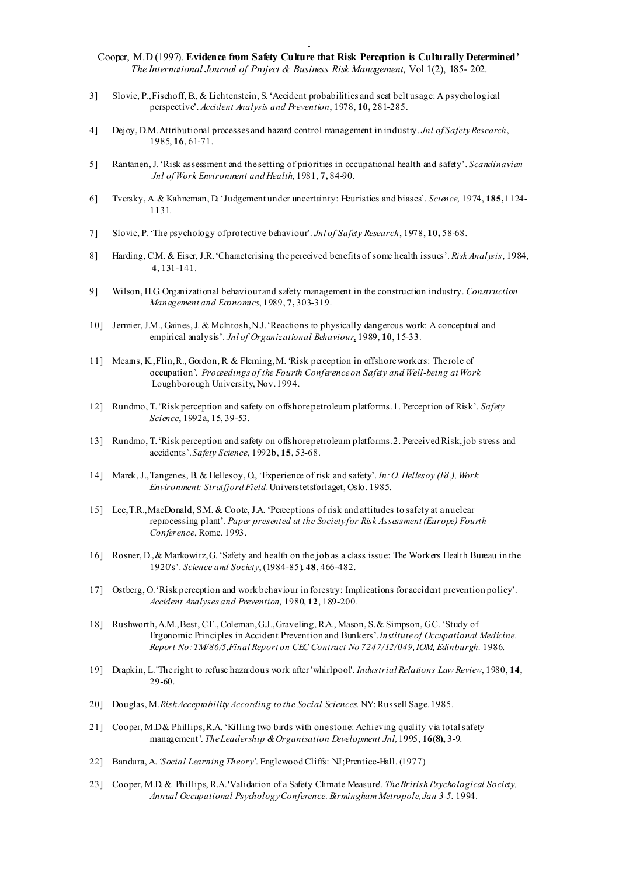- . Cooper, M.D (1997). Evidence from Safety Culture that Risk Perception is Culturally Determined' *The International Journal of Project & Business Risk Management,* Vol 1(2), 185- 202.
- 3] Slovic, P.,Fischoff, B., & Lichtenstein, S. 'Accident probabilities and seat belt usage: A psychological perspective'. *Accident Analysis and Prevention*, 1978, 10, 281-285.
- 4] Dejoy, D.M.Attributional processes and hazard control management in industry. *Jnl of SafetyResearch*, 1985, 16, 61-71.
- 5] Rantanen,J. 'Risk assessment and the setting of priorities in occupational health and safety'. *Scandinavian Jnl of Work Environment and Health*, 1981, 7, 84-90.
- 6] Tversky, A.& Kahneman, D. 'Judgement under uncertainty: Heuristics and biases'. *Science,* 1974, 185,1124- 1131.
- 7] Slovic, P.'The psychology ofprotective behaviour'. *Jnl of Safety Research*, 1978, 10, 58-68.
- 8] Harding, C.M. & Eiser,J.R.'Characterising theperceived benefits of some health issues'. *Risk Analysis* , 1984, 4, 131-141.
- 9] Wilson, H.G. Organizational behaviour and safety management in the construction industry. *Construction Management and Economics*, 1989, 7, 303-319.
- 10] Jermier,J.M., Gaines,J. & McIntosh,N.J.'Reactions to physically dangerous work: A conceptual and empirical analysis'. *Jnl of Organizational Behaviour* , 1989, 10, 15-33.
- 11] Mearns, K.,Flin,R., Gordon, R. & Fleming,M. 'Risk perception in offshoreworkers: The role of occupation'. *Proceedings of the Fourth Conferenceon Safety and Well-being at Work* Loughborough University, Nov.1994.
- 12] Rundmo, T.'Risk perception and safety on offshorepetroleum platforms.1. Perception of Risk'. *Safety Science*, 1992a, 15, 39-53.
- 13] Rundmo, T. 'Risk perception and safety on offshore petroleum platforms. 2. Perceived Risk, job stress and accidents'.*Safety Science*, 1992b, 15, 53-68.
- 14] Marek,J.,Tangenes, B. & Hellesoy, O., 'Experience of risk and safety'. *In:O. Hellesoy (Ed.), Work Environment: Stratfjord Field.*Universtetsforlaget, Oslo. 1985.
- 15] Lee, T.R., MacDonald, S.M. & Coote, J.A. 'Perceptions of risk and attitudes to safety at anuclear reprocessing plant'. *Paper presented at the Society for Risk Assessment(Europe) Fourth Conference*, Rome. 1993.
- 16] Rosner, D.,& Markowitz,G. 'Safety and health on the job as a class issue: The Workers Health Bureau in the 1920's'. *Science and Society*, (1984-85). 48, 466-482.
- 17] Ostberg, O.'Risk perception and work behaviour in forestry: Implications for accident prevention policy'. *Accident Analyses and Prevention,* 1980, 12, 189-200.
- 18] Rushworth,A.M.,Best, C.F., Coleman,G.J.,Graveling, R.A., Mason, S.& Simpson, G.C. 'Study of Ergonomic Principles in Accident Prevention and Bunkers'.*Instituteof Occupational Medicine. Report No:TM/86/5,Final Report on CEC Contract No 7247/12/049,IOM, Edinburgh.* 1986.
- 19] Drapkin, L.'The right to refuse hazardous work after 'whirlpool'. *Industrial Relations Law Review*, 1980, 14, 29-60.
- 20] Douglas, M.*RiskAcceptability According to the Social Sciences.* NY:Russell Sage.1985.
- 21] Cooper, M.D& Phillips,R.A. 'Killing two birds with one stone: Achieving quality via totalsafety management'. *TheLeadership &Organisation Development Jnl,*1995, 16(8), 3-9.
- 22] Bandura, A.*'Social Learning Theory'*. EnglewoodCliffs: NJ;Prentice-Hall. (1977)
- 23] Cooper, M.D. & Phillips, R.A.'Validation of a Safety Climate Measure'. *TheBritish Psychological Society, Annual Occupational PsychologyConference. Birmingham Metropole,Jan 3-5.* 1994.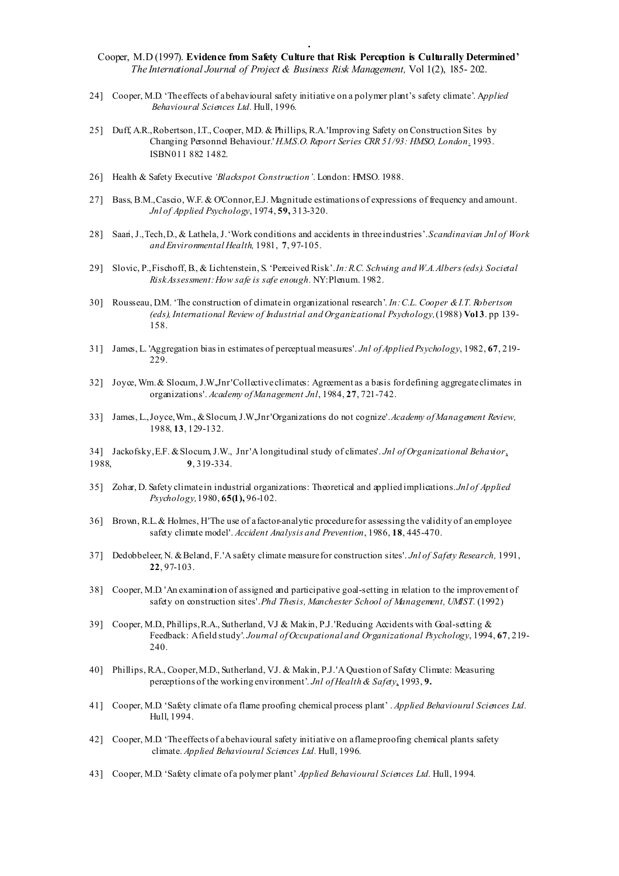- . Cooper, M.D (1997). Evidence from Safety Culture that Risk Perception is Culturally Determined' *The International Journal of Project & Business Risk Management,* Vol 1(2), 185- 202.
- 24] Cooper, M.D. 'The effects of abehavioural safety initiative on a polymer plant's safety climate'. A*pplied Behavioural Sciences Ltd.* Hull, 1996.
- 25] Duff, A.R., Robertson, I.T., Cooper, M.D. & Phillips, R.A. 'Improving Safety on Construction Sites by Changing Personnel Behaviour.' *H.M.S.O. Report Series CRR 51/93: HMSO, London* . 1993. ISBN011 882 1482.
- 26] Health & Safety Executive *'Blackspot Construction'*. London: HMSO. 1988.
- 27] Bass, B.M.,Cascio, W.F. & O'Connor,E.J. Magnitude estimations of expressions of frequency and amount. *Jnl of Applied Psychology*, 1974, 59, 313-320.
- 28] Saari,J.,Tech,D., & Lathela,J.'Work conditions and accidents in three industries'.*Scandinavian Jnl of Work and Environmental Health,* 1981, 7, 97-105.
- 29] Slovic, P.,Fischoff, B., & Lichtenstein, S. 'PerceivedRisk'.*In:R.C. Schwing and W.A.Albers(eds). Societal RiskAssessment:How safe is safe enough.* NY:Plenum. 1982.
- 30] Rousseau, D.M. 'The construction of climate in organizational research'. *In:C.L. Cooper &I.T. Robertson (eds), International Review of Industrial and Organizational Psychology,*(1988) Vol 3. pp 139- 158.
- 31] James, L. 'Aggregation biasin estimates of perceptual measures'. *Jnl of Applied Psychology*, 1982, 67, 219- 229.
- 32] Joyce, Wm.& Slocum,J.W.,Jnr'Collective climates: Agreement as a basis fordefining aggregate climates in organizations'. *Academy of Management Jnl*, 1984, 27, 721-742.
- 33] James, L.,Joyce,Wm., &Slocum,J.W.,Jnr'Organizations do not cognize'.*Academy of Management Review,* 1988, 13, 129-132.

34] Jackofsky,E.F. &Slocum,J.W., Jnr'A longitudinal study of climates'. *Jnl of Organizational Behavior* , 1988, 9, 319-334.

- 35] Zohar, D. Safety climate in industrial organizations: Theoretical and applied implications.*Jnl of Applied Psychology,*1980, 65(1), 96-102.
- 36] Brown, R.L.& Holmes, H'The use of a factor-analytic procedure for assessing the validity of an employee safety climate model'. *Accident Analysis and Prevention*, 1986, 18, 445-470.
- 37] Dedobbeleer, N. &Beland, F.'A safety climate measure for construction sites'. *Jnl of Safety Research,* 1991, 22, 97-103.
- 38] Cooper, M.D. 'An examination of assigned and participative goal-setting in relation to the improvement of safety on construction sites'.*Phd Thesis, Manchester School of Management, UMIST.* (1992)
- 39] Cooper, M.D., Phillips,R.A., Sutherland, V.J & Makin, P.J.'Reducing Accidents with Goal-setting & Feedback: Afield study'. *Journal of Occupational and Organizational Psychology*, 1994, 67, 219- 240.
- 40] Phillips, R.A., Cooper,M.D., Sutherland, V.J. & Makin, P.J.'A Question of Safety Climate: Measuring perceptions of the working environment'. *Jnl of Health & Safety* , 1993, 9.
- 41] Cooper, M.D. 'Safety climate of a flame proofing chemical process plant' . *Applied Behavioural Sciences Ltd.* Hull, 1994.
- 42] Cooper, M.D. 'The effects of abehavioural safety initiative on a flameproofing chemical plants safety climate. *Applied Behavioural Sciences Ltd.* Hull, 1996.
- 43] Cooper, M.D. 'Safety climate of a polymer plant' *Applied Behavioural Sciences Ltd.* Hull, 1994.